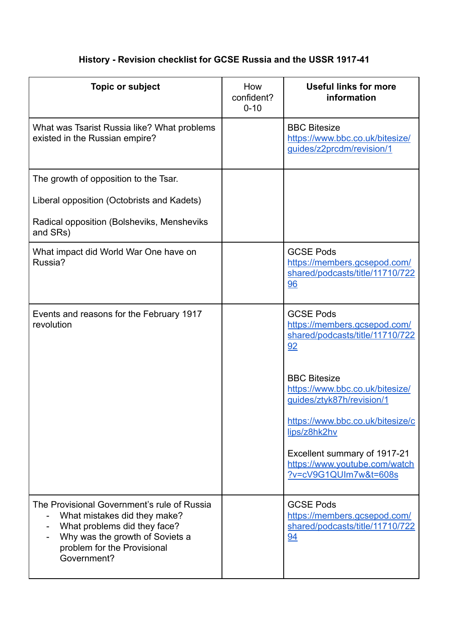## **History - Revision checklist for GCSE Russia and the USSR 1917-41**

| <b>Topic or subject</b>                                                                                                                                                                      | How<br>confident?<br>$0 - 10$ | <b>Useful links for more</b><br>information                                               |
|----------------------------------------------------------------------------------------------------------------------------------------------------------------------------------------------|-------------------------------|-------------------------------------------------------------------------------------------|
| What was Tsarist Russia like? What problems<br>existed in the Russian empire?                                                                                                                |                               | <b>BBC Bitesize</b><br>https://www.bbc.co.uk/bitesize/<br>guides/z2prcdm/revision/1       |
| The growth of opposition to the Tsar.                                                                                                                                                        |                               |                                                                                           |
| Liberal opposition (Octobrists and Kadets)                                                                                                                                                   |                               |                                                                                           |
| Radical opposition (Bolsheviks, Mensheviks<br>and SRs)                                                                                                                                       |                               |                                                                                           |
| What impact did World War One have on<br>Russia?                                                                                                                                             |                               | <b>GCSE Pods</b><br>https://members.gcsepod.com/<br>shared/podcasts/title/11710/722<br>96 |
| Events and reasons for the February 1917<br>revolution                                                                                                                                       |                               | <b>GCSE Pods</b><br>https://members.gcsepod.com/<br>shared/podcasts/title/11710/722<br>92 |
|                                                                                                                                                                                              |                               | <b>BBC Bitesize</b><br>https://www.bbc.co.uk/bitesize/<br>guides/ztyk87h/revision/1       |
|                                                                                                                                                                                              |                               | https://www.bbc.co.uk/bitesize/c<br>lips/z8hk2hv                                          |
|                                                                                                                                                                                              |                               | Excellent summary of 1917-21<br>https://www.youtube.com/watch<br>?v=cV9G1QUIm7w&t=608s    |
| The Provisional Government's rule of Russia<br>What mistakes did they make?<br>What problems did they face?<br>Why was the growth of Soviets a<br>problem for the Provisional<br>Government? |                               | <b>GCSE Pods</b><br>https://members.gcsepod.com/<br>shared/podcasts/title/11710/722<br>94 |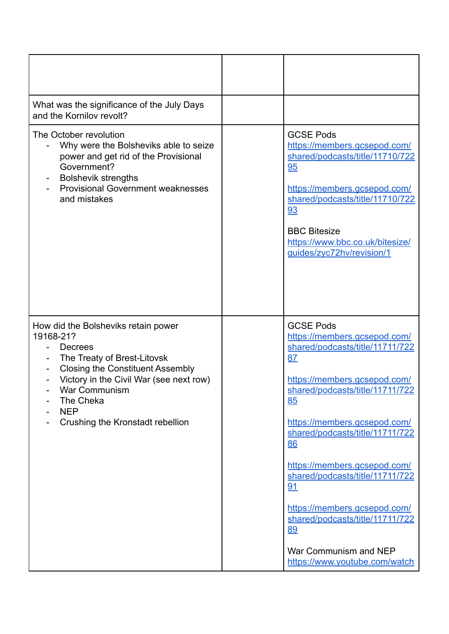| What was the significance of the July Days<br>and the Kornilov revolt?                                                                                                                                                                                                  |                                                                                                                                                                                                                                                                                                                                                                                                                                                         |
|-------------------------------------------------------------------------------------------------------------------------------------------------------------------------------------------------------------------------------------------------------------------------|---------------------------------------------------------------------------------------------------------------------------------------------------------------------------------------------------------------------------------------------------------------------------------------------------------------------------------------------------------------------------------------------------------------------------------------------------------|
| The October revolution<br>Why were the Bolsheviks able to seize<br>power and get rid of the Provisional<br>Government?<br><b>Bolshevik strengths</b><br><b>Provisional Government weaknesses</b><br>and mistakes                                                        | <b>GCSE Pods</b><br>https://members.gcsepod.com/<br>shared/podcasts/title/11710/722<br>95<br>https://members.gcsepod.com/<br>shared/podcasts/title/11710/722<br>93<br><b>BBC Bitesize</b><br>https://www.bbc.co.uk/bitesize/<br>guides/zyc72hv/revision/1                                                                                                                                                                                               |
| How did the Bolsheviks retain power<br>19168-21?<br><b>Decrees</b><br>The Treaty of Brest-Litovsk<br><b>Closing the Constituent Assembly</b><br>Victory in the Civil War (see next row)<br>War Communism<br>The Cheka<br><b>NEP</b><br>Crushing the Kronstadt rebellion | <b>GCSE Pods</b><br>https://members.gcsepod.com/<br>shared/podcasts/title/11711/722<br>87<br>https://members.gcsepod.com/<br>shared/podcasts/title/11711/722<br>85<br>https://members.gcsepod.com/<br>shared/podcasts/title/11711/722<br>86<br>https://members.gcsepod.com/<br>shared/podcasts/title/11711/722<br>91<br>https://members.gcsepod.com/<br>shared/podcasts/title/11711/722<br>89<br>War Communism and NEP<br>https://www.youtube.com/watch |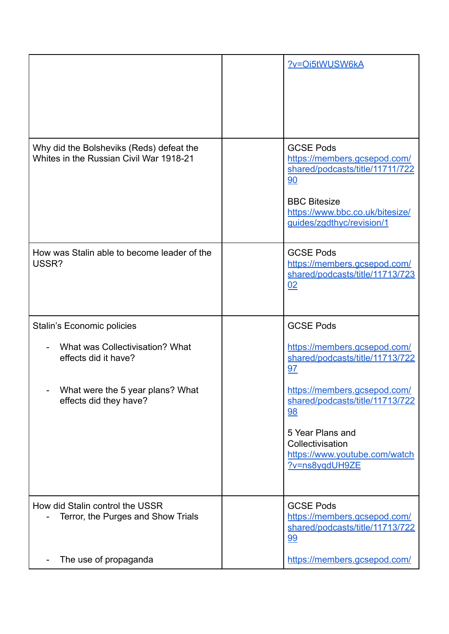|                                                                                     | ?v=Oi5tWUSW6kA                                                                                                                                                                   |
|-------------------------------------------------------------------------------------|----------------------------------------------------------------------------------------------------------------------------------------------------------------------------------|
| Why did the Bolsheviks (Reds) defeat the<br>Whites in the Russian Civil War 1918-21 | <b>GCSE Pods</b><br>https://members.gcsepod.com/<br>shared/podcasts/title/11711/722<br>90<br><b>BBC Bitesize</b><br>https://www.bbc.co.uk/bitesize/<br>guides/zgdthyc/revision/1 |
| How was Stalin able to become leader of the<br>USSR?                                | <b>GCSE Pods</b><br>https://members.gcsepod.com/<br>shared/podcasts/title/11713/723<br>02                                                                                        |
| <b>Stalin's Economic policies</b>                                                   | <b>GCSE Pods</b>                                                                                                                                                                 |
| What was Collectivisation? What<br>effects did it have?                             | https://members.gcsepod.com/<br>shared/podcasts/title/11713/722<br>97                                                                                                            |
| What were the 5 year plans? What<br>effects did they have?                          | https://members.gcsepod.com/<br>shared/podcasts/title/11713/722<br><u>98</u>                                                                                                     |
|                                                                                     | 5 Year Plans and<br>Collectivisation<br>https://www.youtube.com/watch<br>?v=ns8yqdUH9ZE                                                                                          |
| How did Stalin control the USSR<br>Terror, the Purges and Show Trials               | <b>GCSE Pods</b><br>https://members.gcsepod.com/<br>shared/podcasts/title/11713/722<br><u>99</u>                                                                                 |
| The use of propaganda                                                               | https://members.gcsepod.com/                                                                                                                                                     |